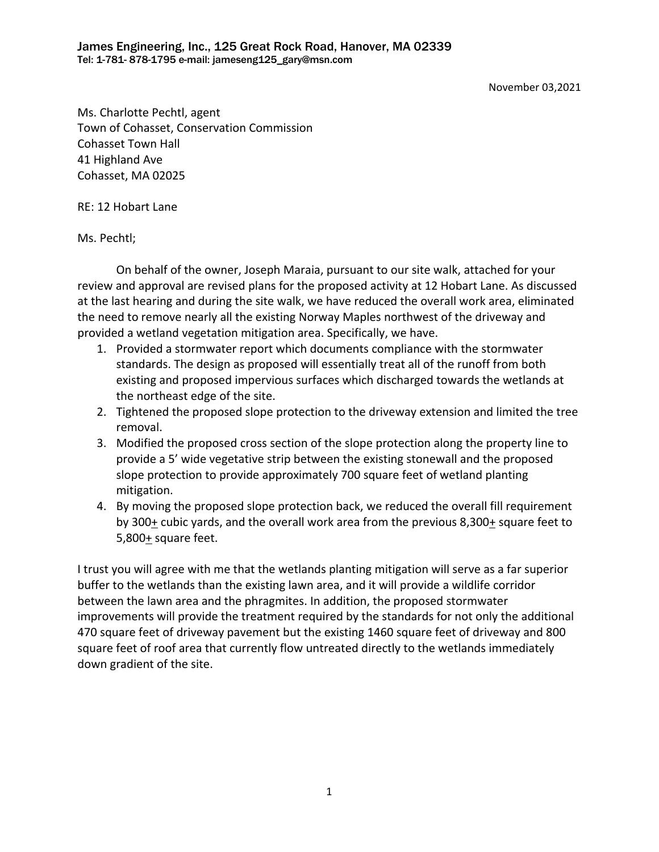November 03,2021

Ms. Charlotte Pechtl, agent Town of Cohasset, Conservation Commission Cohasset Town Hall 41 Highland Ave Cohasset, MA 02025

RE: 12 Hobart Lane

Ms. Pechtl;

On behalf of the owner, Joseph Maraia, pursuant to our site walk, attached for your review and approval are revised plans for the proposed activity at 12 Hobart Lane. As discussed at the last hearing and during the site walk, we have reduced the overall work area, eliminated the need to remove nearly all the existing Norway Maples northwest of the driveway and provided a wetland vegetation mitigation area. Specifically, we have.

- 1. Provided a stormwater report which documents compliance with the stormwater standards. The design as proposed will essentially treat all of the runoff from both existing and proposed impervious surfaces which discharged towards the wetlands at the northeast edge of the site.
- 2. Tightened the proposed slope protection to the driveway extension and limited the tree removal.
- 3. Modified the proposed cross section of the slope protection along the property line to provide a 5' wide vegetative strip between the existing stonewall and the proposed slope protection to provide approximately 700 square feet of wetland planting mitigation.
- 4. By moving the proposed slope protection back, we reduced the overall fill requirement by 300+ cubic yards, and the overall work area from the previous 8,300+ square feet to 5,800 $+$  square feet.

I trust you will agree with me that the wetlands planting mitigation will serve as a far superior buffer to the wetlands than the existing lawn area, and it will provide a wildlife corridor between the lawn area and the phragmites. In addition, the proposed stormwater improvements will provide the treatment required by the standards for not only the additional 470 square feet of driveway pavement but the existing 1460 square feet of driveway and 800 square feet of roof area that currently flow untreated directly to the wetlands immediately down gradient of the site.